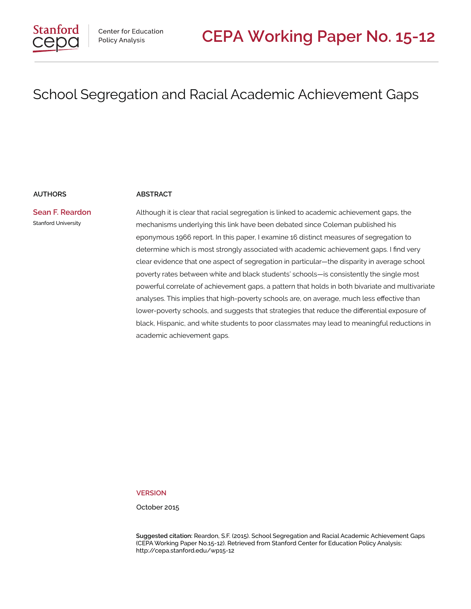#### **AUTHORS ABSTRACT**

**Sean F. Reardon** Stanford University

Although it is clear that racial segregation is linked to academic achievement gaps, the mechanisms underlying this link have been debated since Coleman published his eponymous 1966 report. In this paper, I examine 16 distinct measures of segregation to determine which is most strongly associated with academic achievement gaps. I find very clear evidence that one aspect of segregation in particular—the disparity in average school poverty rates between white and black students' schools—is consistently the single most powerful correlate of achievement gaps, a pattern that holds in both bivariate and multivariate analyses. This implies that high-poverty schools are, on average, much less effective than lower-poverty schools, and suggests that strategies that reduce the differential exposure of black, Hispanic, and white students to poor classmates may lead to meaningful reductions in academic achievement gaps.

**VERSION**

October 2015

**Suggested citation:** Reardon, S.F. (2015). School Segregation and Racial Academic Achievement Gaps (CEPA Working Paper No.15-12). Retrieved from Stanford Center for Education Policy Analysis: http://cepa.stanford.edu/wp15-12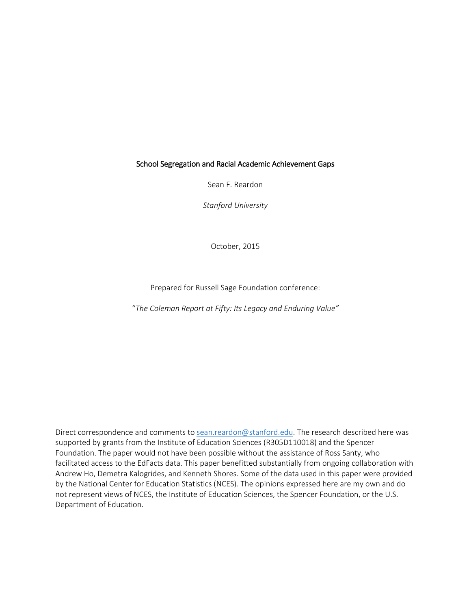Sean F. Reardon

*Stanford University*

October, 2015

Prepared for Russell Sage Foundation conference:

"*The Coleman Report at Fifty: Its Legacy and Enduring Value"*

Direct correspondence and comments to [sean.reardon@stanford.edu.](mailto:sean.reardon@stanford.edu) The research described here was supported by grants from the Institute of Education Sciences (R305D110018) and the Spencer Foundation. The paper would not have been possible without the assistance of Ross Santy, who facilitated access to the EdFacts data. This paper benefitted substantially from ongoing collaboration with Andrew Ho, Demetra Kalogrides, and Kenneth Shores. Some of the data used in this paper were provided by the National Center for Education Statistics (NCES). The opinions expressed here are my own and do not represent views of NCES, the Institute of Education Sciences, the Spencer Foundation, or the U.S. Department of Education.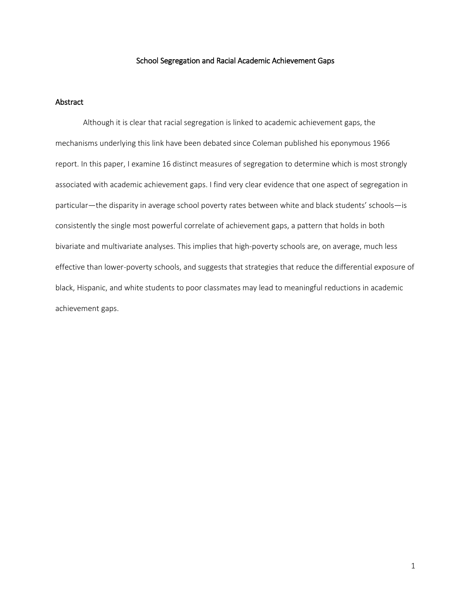### Abstract

Although it is clear that racial segregation is linked to academic achievement gaps, the mechanisms underlying this link have been debated since Coleman published his eponymous 1966 report. In this paper, I examine 16 distinct measures of segregation to determine which is most strongly associated with academic achievement gaps. I find very clear evidence that one aspect of segregation in particular—the disparity in average school poverty rates between white and black students' schools—is consistently the single most powerful correlate of achievement gaps, a pattern that holds in both bivariate and multivariate analyses. This implies that high-poverty schools are, on average, much less effective than lower-poverty schools, and suggests that strategies that reduce the differential exposure of black, Hispanic, and white students to poor classmates may lead to meaningful reductions in academic achievement gaps.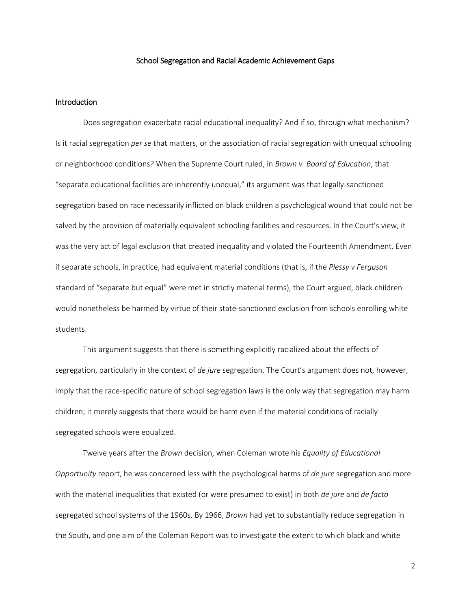#### Introduction

Does segregation exacerbate racial educational inequality? And if so, through what mechanism? Is it racial segregation *per se* that matters, or the association of racial segregation with unequal schooling or neighborhood conditions? When the Supreme Court ruled, in *Brown v. Board of Education*, that "separate educational facilities are inherently unequal," its argument was that legally-sanctioned segregation based on race necessarily inflicted on black children a psychological wound that could not be salved by the provision of materially equivalent schooling facilities and resources. In the Court's view, it was the very act of legal exclusion that created inequality and violated the Fourteenth Amendment. Even if separate schools, in practice, had equivalent material conditions (that is, if the *Plessy v Ferguson* standard of "separate but equal" were met in strictly material terms), the Court argued, black children would nonetheless be harmed by virtue of their state-sanctioned exclusion from schools enrolling white students.

This argument suggests that there is something explicitly racialized about the effects of segregation, particularly in the context of *de jure* segregation. The Court's argument does not, however, imply that the race-specific nature of school segregation laws is the only way that segregation may harm children; it merely suggests that there would be harm even if the material conditions of racially segregated schools were equalized.

Twelve years after the *Brown* decision, when Coleman wrote his *Equality of Educational Opportunity* report, he was concerned less with the psychological harms of *de jure* segregation and more with the material inequalities that existed (or were presumed to exist) in both *de jure* and *de facto* segregated school systems of the 1960s. By 1966, *Brown* had yet to substantially reduce segregation in the South, and one aim of the Coleman Report was to investigate the extent to which black and white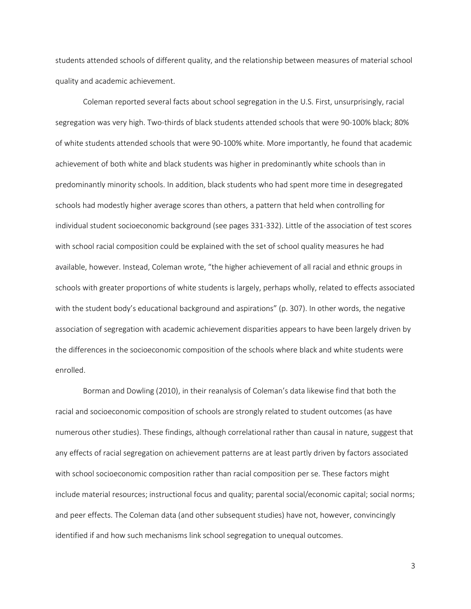students attended schools of different quality, and the relationship between measures of material school quality and academic achievement.

Coleman reported several facts about school segregation in the U.S. First, unsurprisingly, racial segregation was very high. Two-thirds of black students attended schools that were 90-100% black; 80% of white students attended schools that were 90-100% white. More importantly, he found that academic achievement of both white and black students was higher in predominantly white schools than in predominantly minority schools. In addition, black students who had spent more time in desegregated schools had modestly higher average scores than others, a pattern that held when controlling for individual student socioeconomic background (see pages 331-332). Little of the association of test scores with school racial composition could be explained with the set of school quality measures he had available, however. Instead, Coleman wrote, "the higher achievement of all racial and ethnic groups in schools with greater proportions of white students is largely, perhaps wholly, related to effects associated with the student body's educational background and aspirations" (p. 307). In other words, the negative association of segregation with academic achievement disparities appears to have been largely driven by the differences in the socioeconomic composition of the schools where black and white students were enrolled.

Borman and Dowling (2010), in their reanalysis of Coleman's data likewise find that both the racial and socioeconomic composition of schools are strongly related to student outcomes (as have numerous other studies). These findings, although correlational rather than causal in nature, suggest that any effects of racial segregation on achievement patterns are at least partly driven by factors associated with school socioeconomic composition rather than racial composition per se. These factors might include material resources; instructional focus and quality; parental social/economic capital; social norms; and peer effects. The Coleman data (and other subsequent studies) have not, however, convincingly identified if and how such mechanisms link school segregation to unequal outcomes.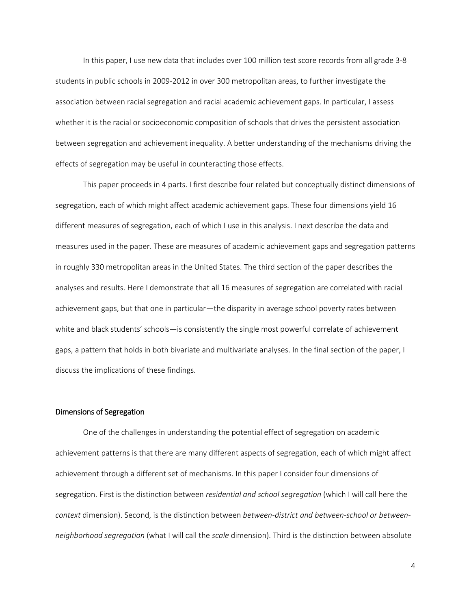In this paper, I use new data that includes over 100 million test score records from all grade 3-8 students in public schools in 2009-2012 in over 300 metropolitan areas, to further investigate the association between racial segregation and racial academic achievement gaps. In particular, I assess whether it is the racial or socioeconomic composition of schools that drives the persistent association between segregation and achievement inequality. A better understanding of the mechanisms driving the effects of segregation may be useful in counteracting those effects.

This paper proceeds in 4 parts. I first describe four related but conceptually distinct dimensions of segregation, each of which might affect academic achievement gaps. These four dimensions yield 16 different measures of segregation, each of which I use in this analysis. I next describe the data and measures used in the paper. These are measures of academic achievement gaps and segregation patterns in roughly 330 metropolitan areas in the United States. The third section of the paper describes the analyses and results. Here I demonstrate that all 16 measures of segregation are correlated with racial achievement gaps, but that one in particular—the disparity in average school poverty rates between white and black students' schools—is consistently the single most powerful correlate of achievement gaps, a pattern that holds in both bivariate and multivariate analyses. In the final section of the paper, I discuss the implications of these findings.

#### Dimensions of Segregation

One of the challenges in understanding the potential effect of segregation on academic achievement patterns is that there are many different aspects of segregation, each of which might affect achievement through a different set of mechanisms. In this paper I consider four dimensions of segregation. First is the distinction between *residential and school segregation* (which I will call here the *context* dimension). Second, is the distinction between *between-district and between-school or betweenneighborhood segregation* (what I will call the *scale* dimension). Third is the distinction between absolute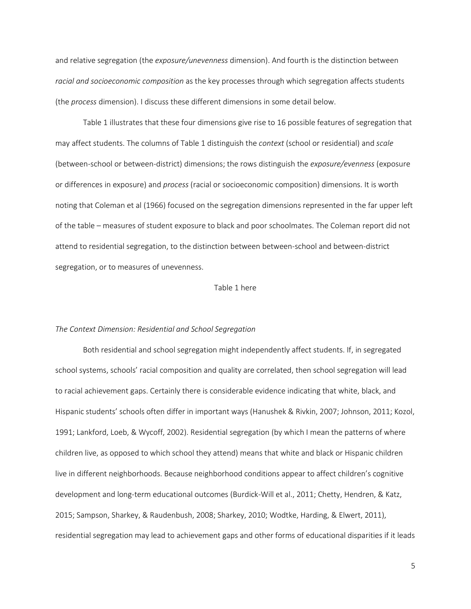and relative segregation (the *exposure/unevenness* dimension). And fourth is the distinction between *racial and socioeconomic composition* as the key processes through which segregation affects students (the *process* dimension). I discuss these different dimensions in some detail below.

Table 1 illustrates that these four dimensions give rise to 16 possible features of segregation that may affect students. The columns of Table 1 distinguish the *context* (school or residential) and *scale* (between-school or between-district) dimensions; the rows distinguish the *exposure/evenness* (exposure or differences in exposure) and *process* (racial or socioeconomic composition) dimensions. It is worth noting that Coleman et al (1966) focused on the segregation dimensions represented in the far upper left of the table – measures of student exposure to black and poor schoolmates. The Coleman report did not attend to residential segregation, to the distinction between between-school and between-district segregation, or to measures of unevenness.

#### Table 1 here

#### *The Context Dimension: Residential and School Segregation*

Both residential and school segregation might independently affect students. If, in segregated school systems, schools' racial composition and quality are correlated, then school segregation will lead to racial achievement gaps. Certainly there is considerable evidence indicating that white, black, and Hispanic students' schools often differ in important ways (Hanushek & Rivkin, 2007; Johnson, 2011; Kozol, 1991; Lankford, Loeb, & Wycoff, 2002). Residential segregation (by which I mean the patterns of where children live, as opposed to which school they attend) means that white and black or Hispanic children live in different neighborhoods. Because neighborhood conditions appear to affect children's cognitive development and long-term educational outcomes (Burdick-Will et al., 2011; Chetty, Hendren, & Katz, 2015; Sampson, Sharkey, & Raudenbush, 2008; Sharkey, 2010; Wodtke, Harding, & Elwert, 2011), residential segregation may lead to achievement gaps and other forms of educational disparities if it leads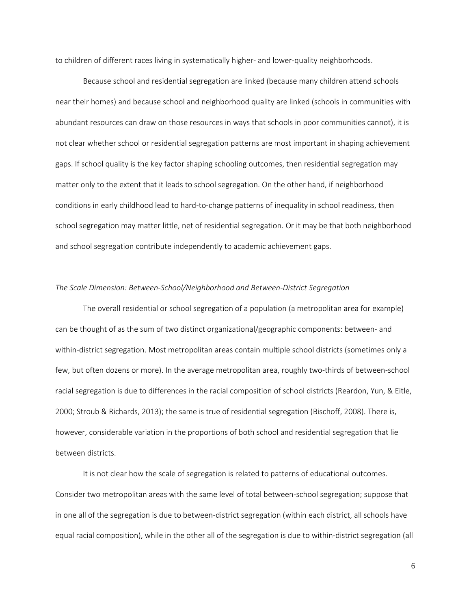to children of different races living in systematically higher- and lower-quality neighborhoods.

Because school and residential segregation are linked (because many children attend schools near their homes) and because school and neighborhood quality are linked (schools in communities with abundant resources can draw on those resources in ways that schools in poor communities cannot), it is not clear whether school or residential segregation patterns are most important in shaping achievement gaps. If school quality is the key factor shaping schooling outcomes, then residential segregation may matter only to the extent that it leads to school segregation. On the other hand, if neighborhood conditions in early childhood lead to hard-to-change patterns of inequality in school readiness, then school segregation may matter little, net of residential segregation. Or it may be that both neighborhood and school segregation contribute independently to academic achievement gaps.

#### *The Scale Dimension: Between-School/Neighborhood and Between-District Segregation*

The overall residential or school segregation of a population (a metropolitan area for example) can be thought of as the sum of two distinct organizational/geographic components: between- and within-district segregation. Most metropolitan areas contain multiple school districts (sometimes only a few, but often dozens or more). In the average metropolitan area, roughly two-thirds of between-school racial segregation is due to differences in the racial composition of school districts (Reardon, Yun, & Eitle, 2000; Stroub & Richards, 2013); the same is true of residential segregation (Bischoff, 2008). There is, however, considerable variation in the proportions of both school and residential segregation that lie between districts.

It is not clear how the scale of segregation is related to patterns of educational outcomes. Consider two metropolitan areas with the same level of total between-school segregation; suppose that in one all of the segregation is due to between-district segregation (within each district, all schools have equal racial composition), while in the other all of the segregation is due to within-district segregation (all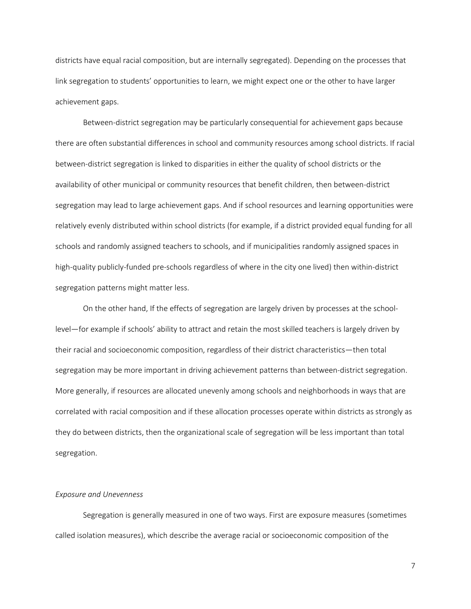districts have equal racial composition, but are internally segregated). Depending on the processes that link segregation to students' opportunities to learn, we might expect one or the other to have larger achievement gaps.

Between-district segregation may be particularly consequential for achievement gaps because there are often substantial differences in school and community resources among school districts. If racial between-district segregation is linked to disparities in either the quality of school districts or the availability of other municipal or community resources that benefit children, then between-district segregation may lead to large achievement gaps. And if school resources and learning opportunities were relatively evenly distributed within school districts (for example, if a district provided equal funding for all schools and randomly assigned teachers to schools, and if municipalities randomly assigned spaces in high-quality publicly-funded pre-schools regardless of where in the city one lived) then within-district segregation patterns might matter less.

On the other hand, If the effects of segregation are largely driven by processes at the schoollevel—for example if schools' ability to attract and retain the most skilled teachers is largely driven by their racial and socioeconomic composition, regardless of their district characteristics—then total segregation may be more important in driving achievement patterns than between-district segregation. More generally, if resources are allocated unevenly among schools and neighborhoods in ways that are correlated with racial composition and if these allocation processes operate within districts as strongly as they do between districts, then the organizational scale of segregation will be less important than total segregation.

#### *Exposure and Unevenness*

Segregation is generally measured in one of two ways. First are exposure measures (sometimes called isolation measures), which describe the average racial or socioeconomic composition of the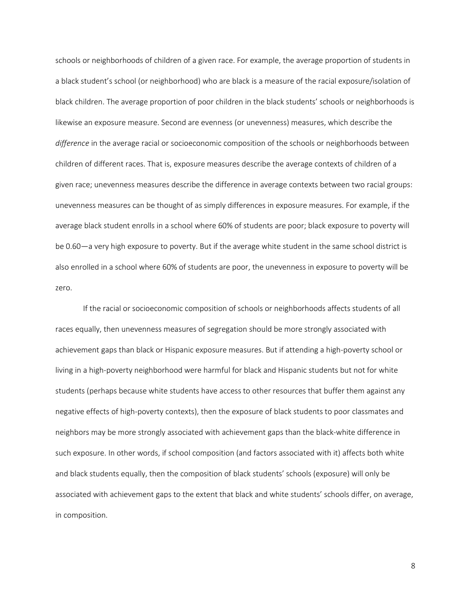schools or neighborhoods of children of a given race. For example, the average proportion of students in a black student's school (or neighborhood) who are black is a measure of the racial exposure/isolation of black children. The average proportion of poor children in the black students' schools or neighborhoods is likewise an exposure measure. Second are evenness (or unevenness) measures, which describe the *difference* in the average racial or socioeconomic composition of the schools or neighborhoods between children of different races. That is, exposure measures describe the average contexts of children of a given race; unevenness measures describe the difference in average contexts between two racial groups: unevenness measures can be thought of as simply differences in exposure measures. For example, if the average black student enrolls in a school where 60% of students are poor; black exposure to poverty will be 0.60—a very high exposure to poverty. But if the average white student in the same school district is also enrolled in a school where 60% of students are poor, the unevenness in exposure to poverty will be zero.

If the racial or socioeconomic composition of schools or neighborhoods affects students of all races equally, then unevenness measures of segregation should be more strongly associated with achievement gaps than black or Hispanic exposure measures. But if attending a high-poverty school or living in a high-poverty neighborhood were harmful for black and Hispanic students but not for white students (perhaps because white students have access to other resources that buffer them against any negative effects of high-poverty contexts), then the exposure of black students to poor classmates and neighbors may be more strongly associated with achievement gaps than the black-white difference in such exposure. In other words, if school composition (and factors associated with it) affects both white and black students equally, then the composition of black students' schools (exposure) will only be associated with achievement gaps to the extent that black and white students' schools differ, on average, in composition.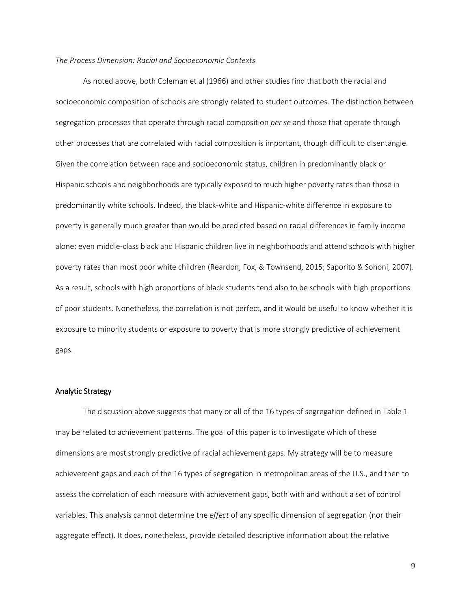#### *The Process Dimension: Racial and Socioeconomic Contexts*

As noted above, both Coleman et al (1966) and other studies find that both the racial and socioeconomic composition of schools are strongly related to student outcomes. The distinction between segregation processes that operate through racial composition *per se* and those that operate through other processes that are correlated with racial composition is important, though difficult to disentangle. Given the correlation between race and socioeconomic status, children in predominantly black or Hispanic schools and neighborhoods are typically exposed to much higher poverty rates than those in predominantly white schools. Indeed, the black-white and Hispanic-white difference in exposure to poverty is generally much greater than would be predicted based on racial differences in family income alone: even middle-class black and Hispanic children live in neighborhoods and attend schools with higher poverty rates than most poor white children (Reardon, Fox, & Townsend, 2015; Saporito & Sohoni, 2007). As a result, schools with high proportions of black students tend also to be schools with high proportions of poor students. Nonetheless, the correlation is not perfect, and it would be useful to know whether it is exposure to minority students or exposure to poverty that is more strongly predictive of achievement gaps.

#### Analytic Strategy

The discussion above suggests that many or all of the 16 types of segregation defined in Table 1 may be related to achievement patterns. The goal of this paper is to investigate which of these dimensions are most strongly predictive of racial achievement gaps. My strategy will be to measure achievement gaps and each of the 16 types of segregation in metropolitan areas of the U.S., and then to assess the correlation of each measure with achievement gaps, both with and without a set of control variables. This analysis cannot determine the *effect* of any specific dimension of segregation (nor their aggregate effect). It does, nonetheless, provide detailed descriptive information about the relative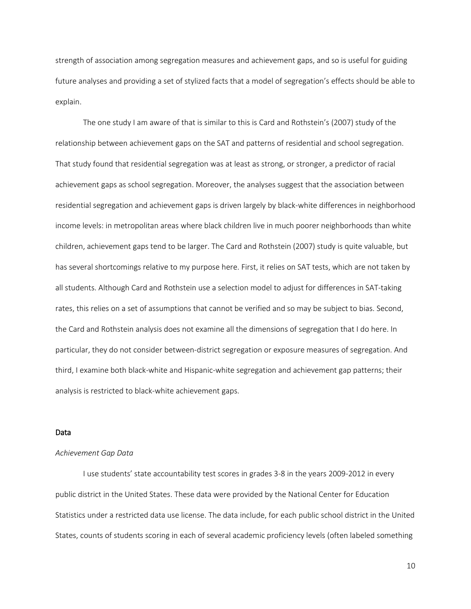strength of association among segregation measures and achievement gaps, and so is useful for guiding future analyses and providing a set of stylized facts that a model of segregation's effects should be able to explain.

The one study I am aware of that is similar to this is Card and Rothstein's (2007) study of the relationship between achievement gaps on the SAT and patterns of residential and school segregation. That study found that residential segregation was at least as strong, or stronger, a predictor of racial achievement gaps as school segregation. Moreover, the analyses suggest that the association between residential segregation and achievement gaps is driven largely by black-white differences in neighborhood income levels: in metropolitan areas where black children live in much poorer neighborhoods than white children, achievement gaps tend to be larger. The Card and Rothstein (2007) study is quite valuable, but has several shortcomings relative to my purpose here. First, it relies on SAT tests, which are not taken by all students. Although Card and Rothstein use a selection model to adjust for differences in SAT-taking rates, this relies on a set of assumptions that cannot be verified and so may be subject to bias. Second, the Card and Rothstein analysis does not examine all the dimensions of segregation that I do here. In particular, they do not consider between-district segregation or exposure measures of segregation. And third, I examine both black-white and Hispanic-white segregation and achievement gap patterns; their analysis is restricted to black-white achievement gaps.

#### Data

#### *Achievement Gap Data*

I use students' state accountability test scores in grades 3-8 in the years 2009-2012 in every public district in the United States. These data were provided by the National Center for Education Statistics under a restricted data use license. The data include, for each public school district in the United States, counts of students scoring in each of several academic proficiency levels (often labeled something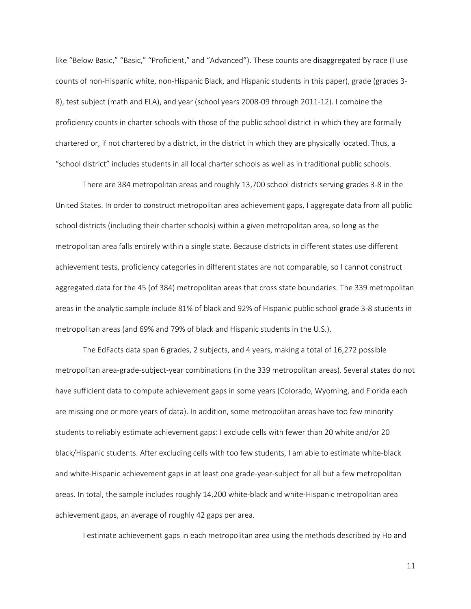like "Below Basic," "Basic," "Proficient," and "Advanced"). These counts are disaggregated by race (I use counts of non-Hispanic white, non-Hispanic Black, and Hispanic students in this paper), grade (grades 3- 8), test subject (math and ELA), and year (school years 2008-09 through 2011-12). I combine the proficiency counts in charter schools with those of the public school district in which they are formally chartered or, if not chartered by a district, in the district in which they are physically located. Thus, a "school district" includes students in all local charter schools as well as in traditional public schools.

There are 384 metropolitan areas and roughly 13,700 school districts serving grades 3-8 in the United States. In order to construct metropolitan area achievement gaps, I aggregate data from all public school districts (including their charter schools) within a given metropolitan area, so long as the metropolitan area falls entirely within a single state. Because districts in different states use different achievement tests, proficiency categories in different states are not comparable, so I cannot construct aggregated data for the 45 (of 384) metropolitan areas that cross state boundaries. The 339 metropolitan areas in the analytic sample include 81% of black and 92% of Hispanic public school grade 3-8 students in metropolitan areas (and 69% and 79% of black and Hispanic students in the U.S.).

The EdFacts data span 6 grades, 2 subjects, and 4 years, making a total of 16,272 possible metropolitan area-grade-subject-year combinations (in the 339 metropolitan areas). Several states do not have sufficient data to compute achievement gaps in some years (Colorado, Wyoming, and Florida each are missing one or more years of data). In addition, some metropolitan areas have too few minority students to reliably estimate achievement gaps: I exclude cells with fewer than 20 white and/or 20 black/Hispanic students. After excluding cells with too few students, I am able to estimate white-black and white-Hispanic achievement gaps in at least one grade-year-subject for all but a few metropolitan areas. In total, the sample includes roughly 14,200 white-black and white-Hispanic metropolitan area achievement gaps, an average of roughly 42 gaps per area.

I estimate achievement gaps in each metropolitan area using the methods described by Ho and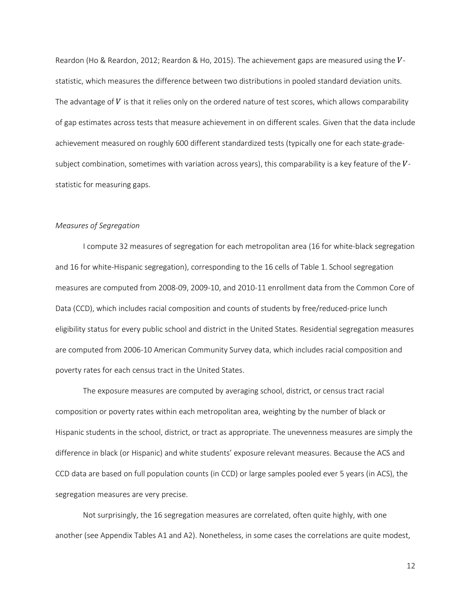Reardon (Ho & Reardon, 2012; Reardon & Ho, 2015). The achievement gaps are measured using the  $V$ statistic, which measures the difference between two distributions in pooled standard deviation units. The advantage of  $V$  is that it relies only on the ordered nature of test scores, which allows comparability of gap estimates across tests that measure achievement in on different scales. Given that the data include achievement measured on roughly 600 different standardized tests (typically one for each state-gradesubject combination, sometimes with variation across years), this comparability is a key feature of the  $V$ statistic for measuring gaps.

#### *Measures of Segregation*

I compute 32 measures of segregation for each metropolitan area (16 for white-black segregation and 16 for white-Hispanic segregation), corresponding to the 16 cells of Table 1. School segregation measures are computed from 2008-09, 2009-10, and 2010-11 enrollment data from the Common Core of Data (CCD), which includes racial composition and counts of students by free/reduced-price lunch eligibility status for every public school and district in the United States. Residential segregation measures are computed from 2006-10 American Community Survey data, which includes racial composition and poverty rates for each census tract in the United States.

The exposure measures are computed by averaging school, district, or census tract racial composition or poverty rates within each metropolitan area, weighting by the number of black or Hispanic students in the school, district, or tract as appropriate. The unevenness measures are simply the difference in black (or Hispanic) and white students' exposure relevant measures. Because the ACS and CCD data are based on full population counts (in CCD) or large samples pooled ever 5 years (in ACS), the segregation measures are very precise.

Not surprisingly, the 16 segregation measures are correlated, often quite highly, with one another (see Appendix Tables A1 and A2). Nonetheless, in some cases the correlations are quite modest,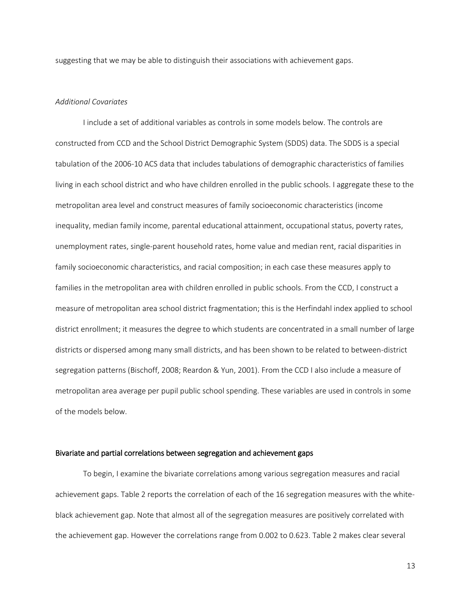suggesting that we may be able to distinguish their associations with achievement gaps.

#### *Additional Covariates*

I include a set of additional variables as controls in some models below. The controls are constructed from CCD and the School District Demographic System (SDDS) data. The SDDS is a special tabulation of the 2006-10 ACS data that includes tabulations of demographic characteristics of families living in each school district and who have children enrolled in the public schools. I aggregate these to the metropolitan area level and construct measures of family socioeconomic characteristics (income inequality, median family income, parental educational attainment, occupational status, poverty rates, unemployment rates, single-parent household rates, home value and median rent, racial disparities in family socioeconomic characteristics, and racial composition; in each case these measures apply to families in the metropolitan area with children enrolled in public schools. From the CCD, I construct a measure of metropolitan area school district fragmentation; this is the Herfindahl index applied to school district enrollment; it measures the degree to which students are concentrated in a small number of large districts or dispersed among many small districts, and has been shown to be related to between-district segregation patterns (Bischoff, 2008; Reardon & Yun, 2001). From the CCD I also include a measure of metropolitan area average per pupil public school spending. These variables are used in controls in some of the models below.

#### Bivariate and partial correlations between segregation and achievement gaps

To begin, I examine the bivariate correlations among various segregation measures and racial achievement gaps. Table 2 reports the correlation of each of the 16 segregation measures with the whiteblack achievement gap. Note that almost all of the segregation measures are positively correlated with the achievement gap. However the correlations range from 0.002 to 0.623. Table 2 makes clear several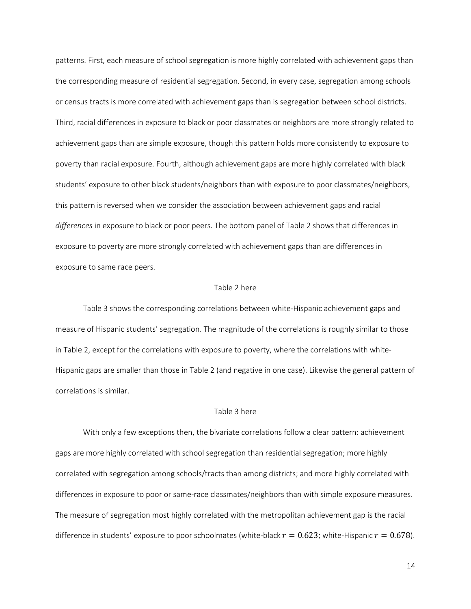patterns. First, each measure of school segregation is more highly correlated with achievement gaps than the corresponding measure of residential segregation. Second, in every case, segregation among schools or census tracts is more correlated with achievement gaps than is segregation between school districts. Third, racial differences in exposure to black or poor classmates or neighbors are more strongly related to achievement gaps than are simple exposure, though this pattern holds more consistently to exposure to poverty than racial exposure. Fourth, although achievement gaps are more highly correlated with black students' exposure to other black students/neighbors than with exposure to poor classmates/neighbors, this pattern is reversed when we consider the association between achievement gaps and racial *differences* in exposure to black or poor peers. The bottom panel of Table 2 shows that differences in exposure to poverty are more strongly correlated with achievement gaps than are differences in exposure to same race peers.

#### Table 2 here

Table 3 shows the corresponding correlations between white-Hispanic achievement gaps and measure of Hispanic students' segregation. The magnitude of the correlations is roughly similar to those in Table 2, except for the correlations with exposure to poverty, where the correlations with white-Hispanic gaps are smaller than those in Table 2 (and negative in one case). Likewise the general pattern of correlations is similar.

#### Table 3 here

With only a few exceptions then, the bivariate correlations follow a clear pattern: achievement gaps are more highly correlated with school segregation than residential segregation; more highly correlated with segregation among schools/tracts than among districts; and more highly correlated with differences in exposure to poor or same-race classmates/neighbors than with simple exposure measures. The measure of segregation most highly correlated with the metropolitan achievement gap is the racial difference in students' exposure to poor schoolmates (white-black  $r = 0.623$ ; white-Hispanic  $r = 0.678$ ).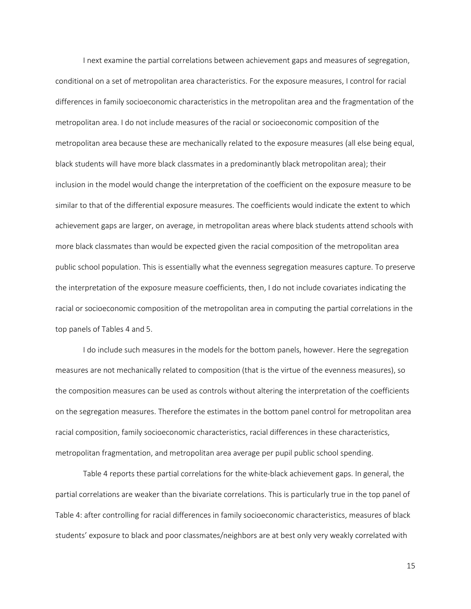I next examine the partial correlations between achievement gaps and measures of segregation, conditional on a set of metropolitan area characteristics. For the exposure measures, I control for racial differences in family socioeconomic characteristics in the metropolitan area and the fragmentation of the metropolitan area. I do not include measures of the racial or socioeconomic composition of the metropolitan area because these are mechanically related to the exposure measures (all else being equal, black students will have more black classmates in a predominantly black metropolitan area); their inclusion in the model would change the interpretation of the coefficient on the exposure measure to be similar to that of the differential exposure measures. The coefficients would indicate the extent to which achievement gaps are larger, on average, in metropolitan areas where black students attend schools with more black classmates than would be expected given the racial composition of the metropolitan area public school population. This is essentially what the evenness segregation measures capture. To preserve the interpretation of the exposure measure coefficients, then, I do not include covariates indicating the racial or socioeconomic composition of the metropolitan area in computing the partial correlations in the top panels of Tables 4 and 5.

I do include such measures in the models for the bottom panels, however. Here the segregation measures are not mechanically related to composition (that is the virtue of the evenness measures), so the composition measures can be used as controls without altering the interpretation of the coefficients on the segregation measures. Therefore the estimates in the bottom panel control for metropolitan area racial composition, family socioeconomic characteristics, racial differences in these characteristics, metropolitan fragmentation, and metropolitan area average per pupil public school spending.

Table 4 reports these partial correlations for the white-black achievement gaps. In general, the partial correlations are weaker than the bivariate correlations. This is particularly true in the top panel of Table 4: after controlling for racial differences in family socioeconomic characteristics, measures of black students' exposure to black and poor classmates/neighbors are at best only very weakly correlated with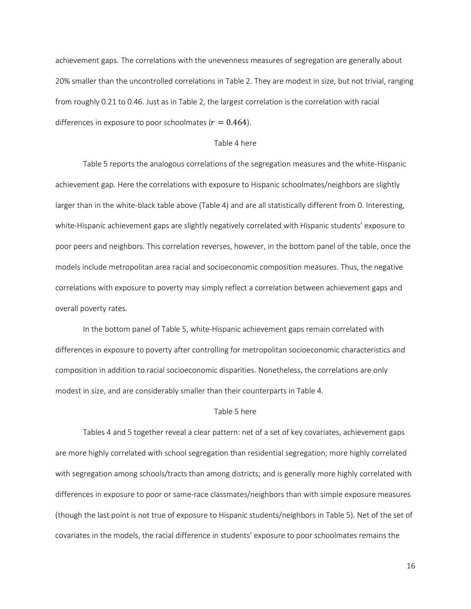achievement gaps. The correlations with the unevenness measures of segregation are generally about 20% smaller than the uncontrolled correlations in Table 2. They are modest in size, but not trivial, ranging from roughly 0.21 to 0.46. Just as in Table 2, the largest correlation is the correlation with racial differences in exposure to poor schoolmates ( $r = 0.464$ ).

#### Table 4 here

Table 5 reports the analogous correlations of the segregation measures and the white-Hispanic achievement gap. Here the correlations with exposure to Hispanic schoolmates/neighbors are slightly larger than in the white-black table above (Table 4) and are all statistically different from 0. Interesting, white-Hispanic achievement gaps are slightly negatively correlated with Hispanic students' exposure to poor peers and neighbors. This correlation reverses, however, in the bottom panel of the table, once the models include metropolitan area racial and socioeconomic composition measures. Thus, the negative correlations with exposure to poverty may simply reflect a correlation between achievement gaps and overall poverty rates.

In the bottom panel of Table 5, white-Hispanic achievement gaps remain correlated with differences in exposure to poverty after controlling for metropolitan socioeconomic characteristics and composition in addition to racial socioeconomic disparities. Nonetheless, the correlations are only modest in size, and are considerably smaller than their counterparts in Table 4.

#### Table 5 here

Tables 4 and 5 together reveal a clear pattern: net of a set of key covariates, achievement gaps are more highly correlated with school segregation than residential segregation; more highly correlated with segregation among schools/tracts than among districts; and is generally more highly correlated with differences in exposure to poor or same-race classmates/neighbors than with simple exposure measures (though the last point is not true of exposure to Hispanic students/neighbors in Table 5). Net of the set of covariates in the models, the racial difference in students' exposure to poor schoolmates remains the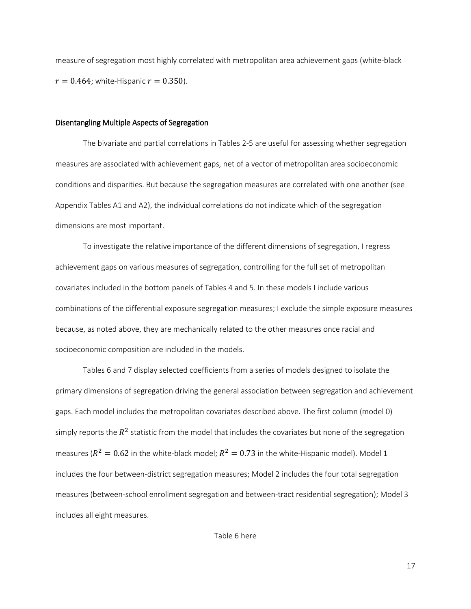measure of segregation most highly correlated with metropolitan area achievement gaps (white-black  $r = 0.464$ ; white-Hispanic  $r = 0.350$ ).

#### Disentangling Multiple Aspects of Segregation

The bivariate and partial correlations in Tables 2-5 are useful for assessing whether segregation measures are associated with achievement gaps, net of a vector of metropolitan area socioeconomic conditions and disparities. But because the segregation measures are correlated with one another (see Appendix Tables A1 and A2), the individual correlations do not indicate which of the segregation dimensions are most important.

To investigate the relative importance of the different dimensions of segregation, I regress achievement gaps on various measures of segregation, controlling for the full set of metropolitan covariates included in the bottom panels of Tables 4 and 5. In these models I include various combinations of the differential exposure segregation measures; I exclude the simple exposure measures because, as noted above, they are mechanically related to the other measures once racial and socioeconomic composition are included in the models.

Tables 6 and 7 display selected coefficients from a series of models designed to isolate the primary dimensions of segregation driving the general association between segregation and achievement gaps. Each model includes the metropolitan covariates described above. The first column (model 0) simply reports the  $R^2$  statistic from the model that includes the covariates but none of the segregation measures ( $R^2 = 0.62$  in the white-black model;  $R^2 = 0.73$  in the white-Hispanic model). Model 1 includes the four between-district segregation measures; Model 2 includes the four total segregation measures (between-school enrollment segregation and between-tract residential segregation); Model 3 includes all eight measures.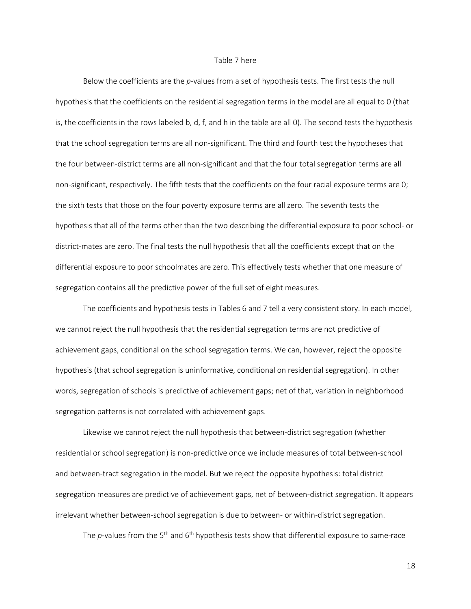#### Table 7 here

Below the coefficients are the *p*-values from a set of hypothesis tests. The first tests the null hypothesis that the coefficients on the residential segregation terms in the model are all equal to 0 (that is, the coefficients in the rows labeled b, d, f, and h in the table are all 0). The second tests the hypothesis that the school segregation terms are all non-significant. The third and fourth test the hypotheses that the four between-district terms are all non-significant and that the four total segregation terms are all non-significant, respectively. The fifth tests that the coefficients on the four racial exposure terms are 0; the sixth tests that those on the four poverty exposure terms are all zero. The seventh tests the hypothesis that all of the terms other than the two describing the differential exposure to poor school- or district-mates are zero. The final tests the null hypothesis that all the coefficients except that on the differential exposure to poor schoolmates are zero. This effectively tests whether that one measure of segregation contains all the predictive power of the full set of eight measures.

The coefficients and hypothesis tests in Tables 6 and 7 tell a very consistent story. In each model, we cannot reject the null hypothesis that the residential segregation terms are not predictive of achievement gaps, conditional on the school segregation terms. We can, however, reject the opposite hypothesis (that school segregation is uninformative, conditional on residential segregation). In other words, segregation of schools is predictive of achievement gaps; net of that, variation in neighborhood segregation patterns is not correlated with achievement gaps.

Likewise we cannot reject the null hypothesis that between-district segregation (whether residential or school segregation) is non-predictive once we include measures of total between-school and between-tract segregation in the model. But we reject the opposite hypothesis: total district segregation measures are predictive of achievement gaps, net of between-district segregation. It appears irrelevant whether between-school segregation is due to between- or within-district segregation.

The *p*-values from the 5<sup>th</sup> and 6<sup>th</sup> hypothesis tests show that differential exposure to same-race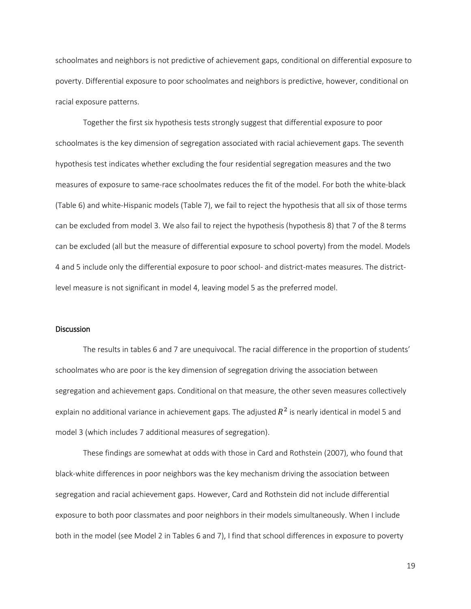schoolmates and neighbors is not predictive of achievement gaps, conditional on differential exposure to poverty. Differential exposure to poor schoolmates and neighbors is predictive, however, conditional on racial exposure patterns.

Together the first six hypothesis tests strongly suggest that differential exposure to poor schoolmates is the key dimension of segregation associated with racial achievement gaps. The seventh hypothesis test indicates whether excluding the four residential segregation measures and the two measures of exposure to same-race schoolmates reduces the fit of the model. For both the white-black (Table 6) and white-Hispanic models (Table 7), we fail to reject the hypothesis that all six of those terms can be excluded from model 3. We also fail to reject the hypothesis (hypothesis 8) that 7 of the 8 terms can be excluded (all but the measure of differential exposure to school poverty) from the model. Models 4 and 5 include only the differential exposure to poor school- and district-mates measures. The districtlevel measure is not significant in model 4, leaving model 5 as the preferred model.

#### **Discussion**

The results in tables 6 and 7 are unequivocal. The racial difference in the proportion of students' schoolmates who are poor is the key dimension of segregation driving the association between segregation and achievement gaps. Conditional on that measure, the other seven measures collectively explain no additional variance in achievement gaps. The adjusted  $R^2$  is nearly identical in model 5 and model 3 (which includes 7 additional measures of segregation).

These findings are somewhat at odds with those in Card and Rothstein (2007), who found that black-white differences in poor neighbors was the key mechanism driving the association between segregation and racial achievement gaps. However, Card and Rothstein did not include differential exposure to both poor classmates and poor neighbors in their models simultaneously. When I include both in the model (see Model 2 in Tables 6 and 7), I find that school differences in exposure to poverty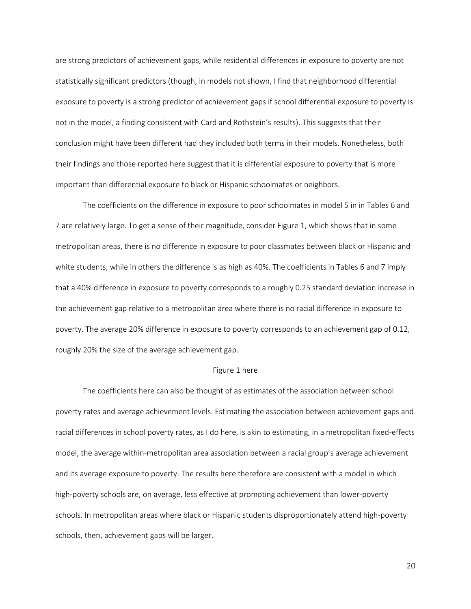are strong predictors of achievement gaps, while residential differences in exposure to poverty are not statistically significant predictors (though, in models not shown, I find that neighborhood differential exposure to poverty is a strong predictor of achievement gaps if school differential exposure to poverty is not in the model, a finding consistent with Card and Rothstein's results). This suggests that their conclusion might have been different had they included both terms in their models. Nonetheless, both their findings and those reported here suggest that it is differential exposure to poverty that is more important than differential exposure to black or Hispanic schoolmates or neighbors.

The coefficients on the difference in exposure to poor schoolmates in model 5 in in Tables 6 and 7 are relatively large. To get a sense of their magnitude, consider Figure 1, which shows that in some metropolitan areas, there is no difference in exposure to poor classmates between black or Hispanic and white students, while in others the difference is as high as 40%. The coefficients in Tables 6 and 7 imply that a 40% difference in exposure to poverty corresponds to a roughly 0.25 standard deviation increase in the achievement gap relative to a metropolitan area where there is no racial difference in exposure to poverty. The average 20% difference in exposure to poverty corresponds to an achievement gap of 0.12, roughly 20% the size of the average achievement gap.

#### Figure 1 here

The coefficients here can also be thought of as estimates of the association between school poverty rates and average achievement levels. Estimating the association between achievement gaps and racial differences in school poverty rates, as I do here, is akin to estimating, in a metropolitan fixed-effects model, the average within-metropolitan area association between a racial group's average achievement and its average exposure to poverty. The results here therefore are consistent with a model in which high-poverty schools are, on average, less effective at promoting achievement than lower-poverty schools. In metropolitan areas where black or Hispanic students disproportionately attend high-poverty schools, then, achievement gaps will be larger.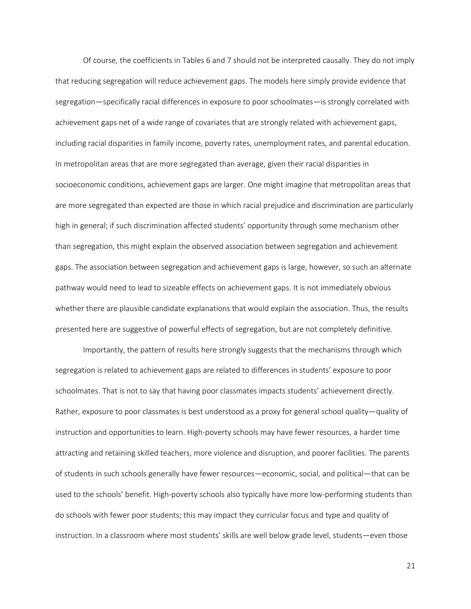Of course, the coefficients in Tables 6 and 7 should not be interpreted causally. They do not imply that reducing segregation will reduce achievement gaps. The models here simply provide evidence that segregation—specifically racial differences in exposure to poor schoolmates—is strongly correlated with achievement gaps net of a wide range of covariates that are strongly related with achievement gaps, including racial disparities in family income, poverty rates, unemployment rates, and parental education. In metropolitan areas that are more segregated than average, given their racial disparities in socioeconomic conditions, achievement gaps are larger. One might imagine that metropolitan areas that are more segregated than expected are those in which racial prejudice and discrimination are particularly high in general; if such discrimination affected students' opportunity through some mechanism other than segregation, this might explain the observed association between segregation and achievement gaps. The association between segregation and achievement gaps is large, however, so such an alternate pathway would need to lead to sizeable effects on achievement gaps. It is not immediately obvious whether there are plausible candidate explanations that would explain the association. Thus, the results presented here are suggestive of powerful effects of segregation, but are not completely definitive.

Importantly, the pattern of results here strongly suggests that the mechanisms through which segregation is related to achievement gaps are related to differences in students' exposure to poor schoolmates. That is not to say that having poor classmates impacts students' achievement directly. Rather, exposure to poor classmates is best understood as a proxy for general school quality—quality of instruction and opportunities to learn. High-poverty schools may have fewer resources, a harder time attracting and retaining skilled teachers, more violence and disruption, and poorer facilities. The parents of students in such schools generally have fewer resources—economic, social, and political—that can be used to the schools' benefit. High-poverty schools also typically have more low-performing students than do schools with fewer poor students; this may impact they curricular focus and type and quality of instruction. In a classroom where most students' skills are well below grade level, students—even those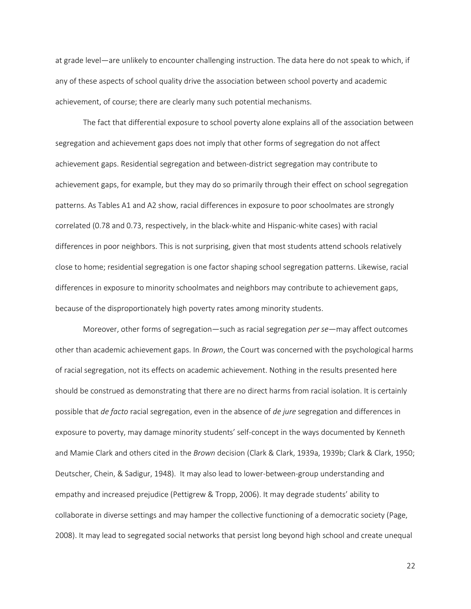at grade level—are unlikely to encounter challenging instruction. The data here do not speak to which, if any of these aspects of school quality drive the association between school poverty and academic achievement, of course; there are clearly many such potential mechanisms.

The fact that differential exposure to school poverty alone explains all of the association between segregation and achievement gaps does not imply that other forms of segregation do not affect achievement gaps. Residential segregation and between-district segregation may contribute to achievement gaps, for example, but they may do so primarily through their effect on school segregation patterns. As Tables A1 and A2 show, racial differences in exposure to poor schoolmates are strongly correlated (0.78 and 0.73, respectively, in the black-white and Hispanic-white cases) with racial differences in poor neighbors. This is not surprising, given that most students attend schools relatively close to home; residential segregation is one factor shaping school segregation patterns. Likewise, racial differences in exposure to minority schoolmates and neighbors may contribute to achievement gaps, because of the disproportionately high poverty rates among minority students.

Moreover, other forms of segregation—such as racial segregation *per se*—may affect outcomes other than academic achievement gaps. In *Brown*, the Court was concerned with the psychological harms of racial segregation, not its effects on academic achievement. Nothing in the results presented here should be construed as demonstrating that there are no direct harms from racial isolation. It is certainly possible that *de facto* racial segregation, even in the absence of *de jure* segregation and differences in exposure to poverty, may damage minority students' self-concept in the ways documented by Kenneth and Mamie Clark and others cited in the *Brown* decision (Clark & Clark, 1939a, 1939b; Clark & Clark, 1950; Deutscher, Chein, & Sadigur, 1948). It may also lead to lower-between-group understanding and empathy and increased prejudice (Pettigrew & Tropp, 2006). It may degrade students' ability to collaborate in diverse settings and may hamper the collective functioning of a democratic society (Page, 2008). It may lead to segregated social networks that persist long beyond high school and create unequal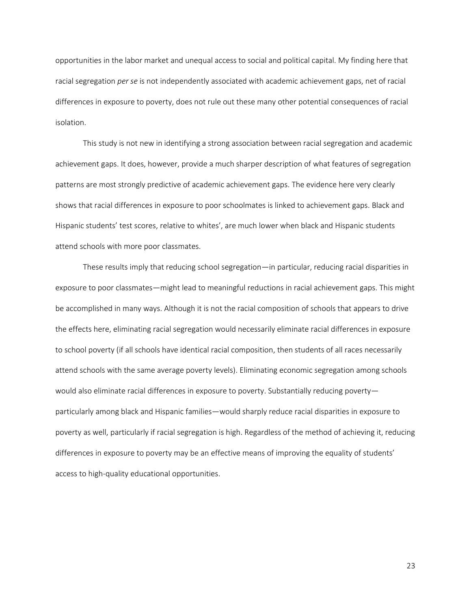opportunities in the labor market and unequal access to social and political capital. My finding here that racial segregation *per se* is not independently associated with academic achievement gaps, net of racial differences in exposure to poverty, does not rule out these many other potential consequences of racial isolation.

This study is not new in identifying a strong association between racial segregation and academic achievement gaps. It does, however, provide a much sharper description of what features of segregation patterns are most strongly predictive of academic achievement gaps. The evidence here very clearly shows that racial differences in exposure to poor schoolmates is linked to achievement gaps. Black and Hispanic students' test scores, relative to whites', are much lower when black and Hispanic students attend schools with more poor classmates.

These results imply that reducing school segregation—in particular, reducing racial disparities in exposure to poor classmates—might lead to meaningful reductions in racial achievement gaps. This might be accomplished in many ways. Although it is not the racial composition of schools that appears to drive the effects here, eliminating racial segregation would necessarily eliminate racial differences in exposure to school poverty (if all schools have identical racial composition, then students of all races necessarily attend schools with the same average poverty levels). Eliminating economic segregation among schools would also eliminate racial differences in exposure to poverty. Substantially reducing poverty particularly among black and Hispanic families—would sharply reduce racial disparities in exposure to poverty as well, particularly if racial segregation is high. Regardless of the method of achieving it, reducing differences in exposure to poverty may be an effective means of improving the equality of students' access to high-quality educational opportunities.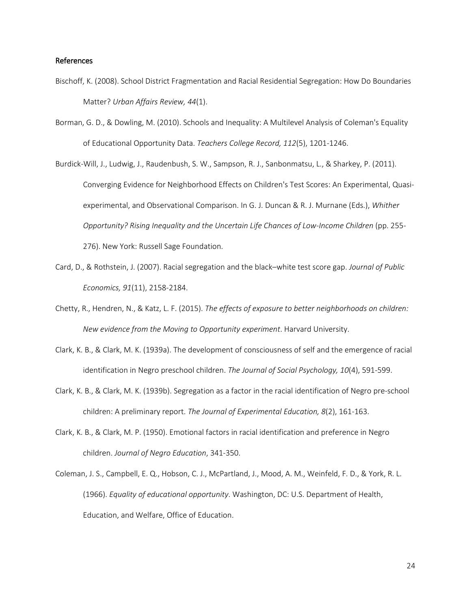#### References

- Bischoff, K. (2008). School District Fragmentation and Racial Residential Segregation: How Do Boundaries Matter? *Urban Affairs Review, 44*(1).
- Borman, G. D., & Dowling, M. (2010). Schools and Inequality: A Multilevel Analysis of Coleman's Equality of Educational Opportunity Data. *Teachers College Record, 112*(5), 1201-1246.

Burdick-Will, J., Ludwig, J., Raudenbush, S. W., Sampson, R. J., Sanbonmatsu, L., & Sharkey, P. (2011). Converging Evidence for Neighborhood Effects on Children's Test Scores: An Experimental, Quasiexperimental, and Observational Comparison. In G. J. Duncan & R. J. Murnane (Eds.), *Whither Opportunity? Rising Inequality and the Uncertain Life Chances of Low-Income Children* (pp. 255- 276). New York: Russell Sage Foundation.

- Card, D., & Rothstein, J. (2007). Racial segregation and the black–white test score gap. *Journal of Public Economics, 91*(11), 2158-2184.
- Chetty, R., Hendren, N., & Katz, L. F. (2015). *The effects of exposure to better neighborhoods on children: New evidence from the Moving to Opportunity experiment*. Harvard University.
- Clark, K. B., & Clark, M. K. (1939a). The development of consciousness of self and the emergence of racial identification in Negro preschool children. *The Journal of Social Psychology, 10*(4), 591-599.
- Clark, K. B., & Clark, M. K. (1939b). Segregation as a factor in the racial identification of Negro pre-school children: A preliminary report. *The Journal of Experimental Education, 8*(2), 161-163.
- Clark, K. B., & Clark, M. P. (1950). Emotional factors in racial identification and preference in Negro children. *Journal of Negro Education*, 341-350.

Coleman, J. S., Campbell, E. Q., Hobson, C. J., McPartland, J., Mood, A. M., Weinfeld, F. D., & York, R. L. (1966). *Equality of educational opportunity*. Washington, DC: U.S. Department of Health, Education, and Welfare, Office of Education.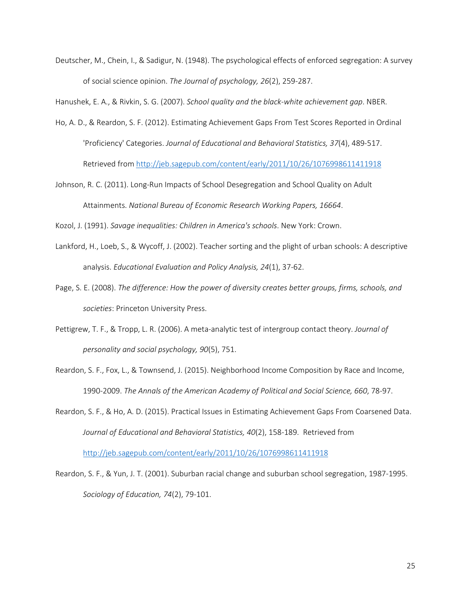Deutscher, M., Chein, I., & Sadigur, N. (1948). The psychological effects of enforced segregation: A survey of social science opinion. *The Journal of psychology, 26*(2), 259-287.

Hanushek, E. A., & Rivkin, S. G. (2007). *School quality and the black-white achievement gap*. NBER.

- Ho, A. D., & Reardon, S. F. (2012). Estimating Achievement Gaps From Test Scores Reported in Ordinal 'Proficiency' Categories. *Journal of Educational and Behavioral Statistics, 37*(4), 489-517. Retrieved from<http://jeb.sagepub.com/content/early/2011/10/26/1076998611411918>
- Johnson, R. C. (2011). Long-Run Impacts of School Desegregation and School Quality on Adult Attainments. *National Bureau of Economic Research Working Papers, 16664*.

Kozol, J. (1991). *Savage inequalities: Children in America's schools*. New York: Crown.

- Lankford, H., Loeb, S., & Wycoff, J. (2002). Teacher sorting and the plight of urban schools: A descriptive analysis. *Educational Evaluation and Policy Analysis, 24*(1), 37-62.
- Page, S. E. (2008). *The difference: How the power of diversity creates better groups, firms, schools, and societies*: Princeton University Press.
- Pettigrew, T. F., & Tropp, L. R. (2006). A meta-analytic test of intergroup contact theory. *Journal of personality and social psychology, 90*(5), 751.
- Reardon, S. F., Fox, L., & Townsend, J. (2015). Neighborhood Income Composition by Race and Income, 1990-2009. *The Annals of the American Academy of Political and Social Science, 660*, 78-97.

Reardon, S. F., & Ho, A. D. (2015). Practical Issues in Estimating Achievement Gaps From Coarsened Data. *Journal of Educational and Behavioral Statistics, 40*(2), 158-189. Retrieved from

<http://jeb.sagepub.com/content/early/2011/10/26/1076998611411918>

Reardon, S. F., & Yun, J. T. (2001). Suburban racial change and suburban school segregation, 1987-1995. *Sociology of Education, 74*(2), 79-101.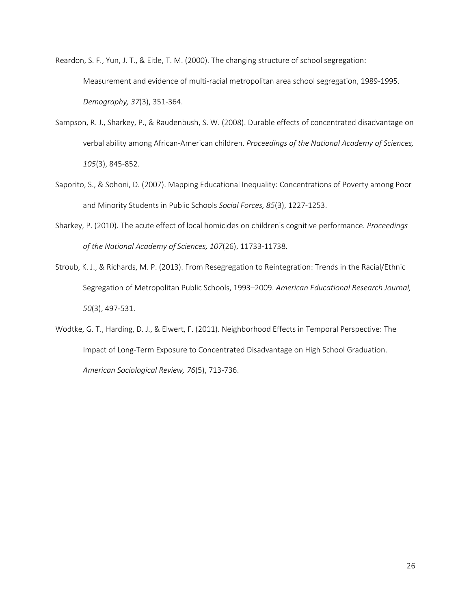Reardon, S. F., Yun, J. T., & Eitle, T. M. (2000). The changing structure of school segregation: Measurement and evidence of multi-racial metropolitan area school segregation, 1989-1995. *Demography, 37*(3), 351-364.

- Sampson, R. J., Sharkey, P., & Raudenbush, S. W. (2008). Durable effects of concentrated disadvantage on verbal ability among African-American children. *Proceedings of the National Academy of Sciences, 105*(3), 845-852.
- Saporito, S., & Sohoni, D. (2007). Mapping Educational Inequality: Concentrations of Poverty among Poor and Minority Students in Public Schools *Social Forces, 85*(3), 1227-1253.
- Sharkey, P. (2010). The acute effect of local homicides on children's cognitive performance. *Proceedings of the National Academy of Sciences, 107*(26), 11733-11738.
- Stroub, K. J., & Richards, M. P. (2013). From Resegregation to Reintegration: Trends in the Racial/Ethnic Segregation of Metropolitan Public Schools, 1993–2009. *American Educational Research Journal, 50*(3), 497-531.
- Wodtke, G. T., Harding, D. J., & Elwert, F. (2011). Neighborhood Effects in Temporal Perspective: The Impact of Long-Term Exposure to Concentrated Disadvantage on High School Graduation. *American Sociological Review, 76*(5), 713-736.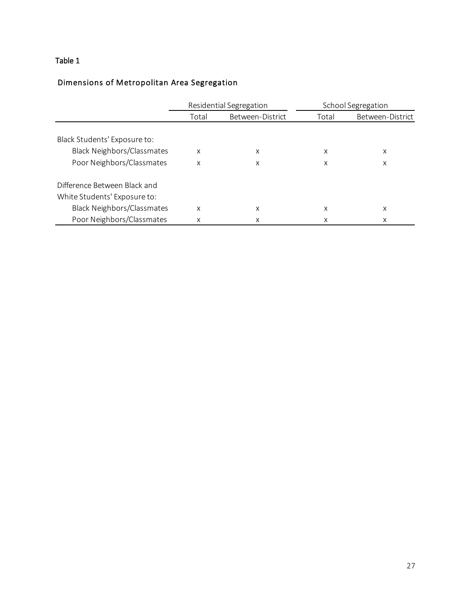### Table 1

## Dimensions of Metropolitan Area Segregation

|                                   |       | Residential Segregation | School Segregation |                  |  |  |  |
|-----------------------------------|-------|-------------------------|--------------------|------------------|--|--|--|
|                                   | Total | Between-District        | Total              | Between-District |  |  |  |
|                                   |       |                         |                    |                  |  |  |  |
| Black Students' Exposure to:      |       |                         |                    |                  |  |  |  |
| <b>Black Neighbors/Classmates</b> | X     | X                       | X                  | X                |  |  |  |
| Poor Neighbors/Classmates         | X     | X                       | X                  | X                |  |  |  |
| Difference Between Black and      |       |                         |                    |                  |  |  |  |
| White Students' Exposure to:      |       |                         |                    |                  |  |  |  |
| <b>Black Neighbors/Classmates</b> | X     | х                       | х                  | х                |  |  |  |
| Poor Neighbors/Classmates         | X     | х                       | Χ                  | Χ                |  |  |  |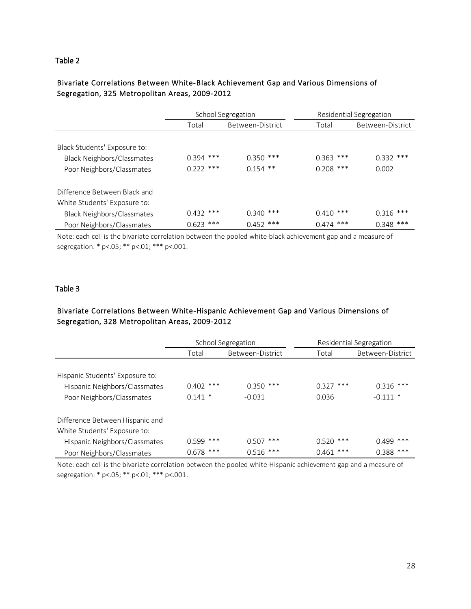### Table 2

### Bivariate Correlations Between White-Black Achievement Gap and Various Dimensions of Segregation, 325 Metropolitan Areas, 2009-2012

|                                   |             | School Segregation | Residential Segregation |                      |  |  |  |
|-----------------------------------|-------------|--------------------|-------------------------|----------------------|--|--|--|
|                                   | Total       | Between-District   | Total                   | Between-District     |  |  |  |
|                                   |             |                    |                         |                      |  |  |  |
| Black Students' Exposure to:      |             |                    |                         |                      |  |  |  |
| <b>Black Neighbors/Classmates</b> | $0.394$ *** | $0.350$ ***        | $0.363$ ***             | $0.332$ ***<br>0.002 |  |  |  |
| Poor Neighbors/Classmates         | $0.222$ *** | $0.154$ **         | $0.208$ ***             |                      |  |  |  |
| Difference Between Black and      |             |                    |                         |                      |  |  |  |
| White Students' Exposure to:      |             |                    |                         |                      |  |  |  |
| <b>Black Neighbors/Classmates</b> | $0.432$ *** | $0.340$ ***        | $0.410$ ***             | $0.316$ ***          |  |  |  |
| Poor Neighbors/Classmates         | $0.623$ *** | $0.452$ ***        | $0.474$ ***             | $0.348$ ***          |  |  |  |

Note: each cell is the bivariate correlation between the pooled white-black achievement gap and a measure of segregation. \* p<.05; \*\* p<.01; \*\*\* p<.001.

### Table 3

### Bivariate Correlations Between White-Hispanic Achievement Gap and Various Dimensions of Segregation, 328 Metropolitan Areas, 2009-2012

|                                 |             | School Segregation |             | Residential Segregation |  |
|---------------------------------|-------------|--------------------|-------------|-------------------------|--|
|                                 | Total       | Between-District   | Total       | Between-District        |  |
|                                 |             |                    |             |                         |  |
| Hispanic Students' Exposure to: |             |                    |             |                         |  |
| Hispanic Neighbors/Classmates   | $0.402$ *** | $0.350$ ***        | $0.327$ *** | $0.316$ ***             |  |
| Poor Neighbors/Classmates       | $0.141$ *   | $-0.031$           | 0.036       | $-0.111$ *              |  |
| Difference Between Hispanic and |             |                    |             |                         |  |
| White Students' Exposure to:    |             |                    |             |                         |  |
| Hispanic Neighbors/Classmates   | $0.599$ *** | $0.507$ ***        | $0.520$ *** | $0.499$ ***             |  |
| Poor Neighbors/Classmates       | $0.678$ *** | $0.516$ ***        | $0.461$ *** | $0.388$ ***             |  |

Note: each cell is the bivariate correlation between the pooled white-Hispanic achievement gap and a measure of segregation. \* p<.05; \*\* p<.01; \*\*\* p<.001.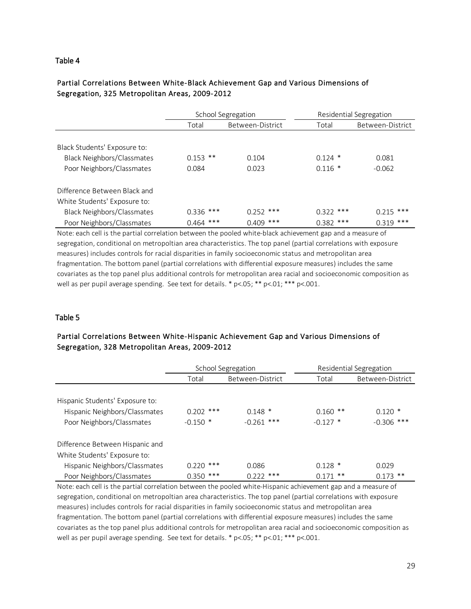### Table 4

### Partial Correlations Between White-Black Achievement Gap and Various Dimensions of Segregation, 325 Metropolitan Areas, 2009-2012

|                                   |             | School Segregation | Residential Segregation |                  |  |  |  |
|-----------------------------------|-------------|--------------------|-------------------------|------------------|--|--|--|
|                                   | Total       | Between-District   | Total                   | Between-District |  |  |  |
|                                   |             |                    |                         |                  |  |  |  |
| Black Students' Exposure to:      |             |                    |                         |                  |  |  |  |
| <b>Black Neighbors/Classmates</b> | $0.153$ **  | 0.104              | $0.124$ *               | 0.081            |  |  |  |
| Poor Neighbors/Classmates         | 0.084       | 0.023              | $0.116*$                | $-0.062$         |  |  |  |
| Difference Between Black and      |             |                    |                         |                  |  |  |  |
| White Students' Exposure to:      |             |                    |                         |                  |  |  |  |
| <b>Black Neighbors/Classmates</b> | $0.336$ *** | $0.252$ ***        | $0.322$ ***             | $0.215$ ***      |  |  |  |
| Poor Neighbors/Classmates         | $0.464$ *** | $0.409$ ***        | $0.382$ ***             | $0.319$ ***      |  |  |  |

Note: each cell is the partial correlation between the pooled white-black achievement gap and a measure of segregation, conditional on metropoltian area characteristics. The top panel (partial correlations with exposure measures) includes controls for racial disparities in family socioeconomic status and metropolitan area fragmentation. The bottom panel (partial correlations with differential exposure measures) includes the same covariates as the top panel plus additional controls for metropolitan area racial and socioeconomic composition as well as per pupil average spending. See text for details.  $*$  p<.05;  $**$  p<.01;  $***$  p<.001.

### Table 5

### Partial Correlations Between White-Hispanic Achievement Gap and Various Dimensions of Segregation, 328 Metropolitan Areas, 2009-2012

|                                 |             | School Segregation | Residential Segregation |                  |  |  |  |
|---------------------------------|-------------|--------------------|-------------------------|------------------|--|--|--|
|                                 | Total       | Between-District   | Total                   | Between-District |  |  |  |
|                                 |             |                    |                         |                  |  |  |  |
| Hispanic Students' Exposure to: |             |                    |                         |                  |  |  |  |
| Hispanic Neighbors/Classmates   | $0.202$ *** | $0.148*$           | $0.160$ **              | $0.120*$         |  |  |  |
| Poor Neighbors/Classmates       | $-0.150$ *  | $-0.261$ ***       | $-0.127$ *              | $-0.306$ ***     |  |  |  |
| Difference Between Hispanic and |             |                    |                         |                  |  |  |  |
| White Students' Exposure to:    |             |                    |                         |                  |  |  |  |
| Hispanic Neighbors/Classmates   | $0.220$ *** | 0.086              | $0.128$ *               | 0.029            |  |  |  |
| Poor Neighbors/Classmates       | $0.350$ *** | $0.222$ ***        | $0.171$ **              | $0.173$ **       |  |  |  |

Note: each cell is the partial correlation between the pooled white-Hispanic achievement gap and a measure of segregation, conditional on metropoltian area characteristics. The top panel (partial correlations with exposure measures) includes controls for racial disparities in family socioeconomic status and metropolitan area fragmentation. The bottom panel (partial correlations with differential exposure measures) includes the same covariates as the top panel plus additional controls for metropolitan area racial and socioeconomic composition as well as per pupil average spending. See text for details. \* p<.05; \*\* p<.01; \*\*\* p<.001.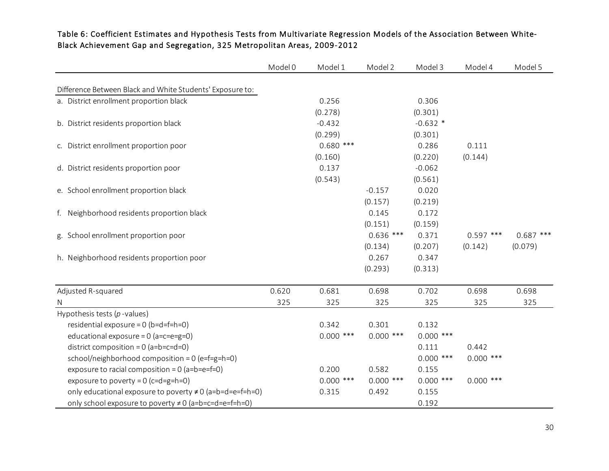|                                                            | Model 0 | Model 1     | Model 2     | Model 3     | Model 4     | Model 5     |
|------------------------------------------------------------|---------|-------------|-------------|-------------|-------------|-------------|
|                                                            |         |             |             |             |             |             |
| Difference Between Black and White Students' Exposure to:  |         | 0.256       |             | 0.306       |             |             |
| a. District enrollment proportion black                    |         |             |             |             |             |             |
|                                                            |         | (0.278)     |             | (0.301)     |             |             |
| b. District residents proportion black                     |         | $-0.432$    |             | $-0.632$ *  |             |             |
|                                                            |         | (0.299)     |             | (0.301)     |             |             |
| c. District enrollment proportion poor                     |         | $0.680$ *** |             | 0.286       | 0.111       |             |
|                                                            |         | (0.160)     |             | (0.220)     | (0.144)     |             |
| d. District residents proportion poor                      |         | 0.137       |             | $-0.062$    |             |             |
|                                                            |         | (0.543)     |             | (0.561)     |             |             |
| e. School enrollment proportion black                      |         |             | $-0.157$    | 0.020       |             |             |
|                                                            |         |             | (0.157)     | (0.219)     |             |             |
| f. Neighborhood residents proportion black                 |         |             | 0.145       | 0.172       |             |             |
|                                                            |         |             | (0.151)     | (0.159)     |             |             |
| g. School enrollment proportion poor                       |         |             | $0.636$ *** | 0.371       | $0.597$ *** | $0.687$ *** |
|                                                            |         |             | (0.134)     | (0.207)     | (0.142)     | (0.079)     |
| h. Neighborhood residents proportion poor                  |         |             | 0.267       | 0.347       |             |             |
|                                                            |         |             | (0.293)     | (0.313)     |             |             |
|                                                            |         |             |             |             |             |             |
| Adjusted R-squared                                         | 0.620   | 0.681       | 0.698       | 0.702       | 0.698       | 0.698       |
| N                                                          | 325     | 325         | 325         | 325         | 325         | 325         |
| Hypothesis tests $(p$ -values)                             |         |             |             |             |             |             |
| residential exposure = $0$ (b=d=f=h=0)                     |         | 0.342       | 0.301       | 0.132       |             |             |
| educational exposure = $0$ (a=c=e=g=0)                     |         | $0.000$ *** | $0.000$ *** | $0.000$ *** |             |             |
| district composition = $0$ (a=b=c=d=0)                     |         |             |             | 0.111       | 0.442       |             |
| school/neighborhood composition = $0$ (e=f=g=h=0)          |         |             |             | $0.000$ *** | $0.000$ *** |             |
| exposure to racial composition = $0$ (a=b=e=f=0)           |         | 0.200       | 0.582       | 0.155       |             |             |
| exposure to poverty = $0$ (c=d=g=h=0)                      |         | $0.000$ *** | $0.000$ *** | $0.000$ *** | $0.000$ *** |             |
| only educational exposure to poverty ≠ 0 (a=b=d=e=f=h=0)   |         | 0.315       | 0.492       | 0.155       |             |             |
| only school exposure to poverty $\neq 0$ (a=b=c=d=e=f=h=0) |         |             |             | 0.192       |             |             |

### Table 6: Coefficient Estimates and Hypothesis Tests from Multivariate Regression Models of the Association Between White-Black Achievement Gap and Segregation, 325 Metropolitan Areas, 2009-2012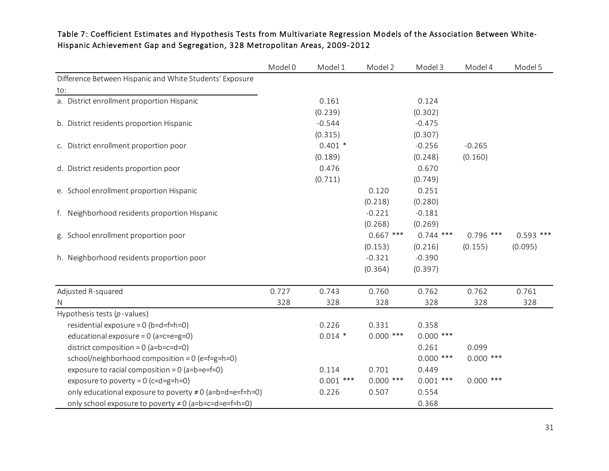### Table 7: Coefficient Estimates and Hypothesis Tests from Multivariate Regression Models of the Association Between White-Hispanic Achievement Gap and Segregation, 328 Metropolitan Areas, 2009-2012

|                                                            | Model 0 | Model 1     | Model 2     | Model 3     | Model 4     | Model 5     |
|------------------------------------------------------------|---------|-------------|-------------|-------------|-------------|-------------|
| Difference Between Hispanic and White Students' Exposure   |         |             |             |             |             |             |
| to:                                                        |         |             |             |             |             |             |
| a. District enrollment proportion Hispanic                 |         | 0.161       |             | 0.124       |             |             |
|                                                            |         | (0.239)     |             | (0.302)     |             |             |
| b. District residents proportion Hispanic                  |         | $-0.544$    |             | $-0.475$    |             |             |
|                                                            |         | (0.315)     |             | (0.307)     |             |             |
| c. District enrollment proportion poor                     |         | $0.401*$    |             | $-0.256$    | $-0.265$    |             |
|                                                            |         | (0.189)     |             | (0.248)     | (0.160)     |             |
| d. District residents proportion poor                      |         | 0.476       |             | 0.670       |             |             |
|                                                            |         | (0.711)     |             | (0.749)     |             |             |
| e. School enrollment proportion Hispanic                   |         |             | 0.120       | 0.251       |             |             |
|                                                            |         |             | (0.218)     | (0.280)     |             |             |
| f. Neighborhood residents proportion Hispanic              |         |             | $-0.221$    | $-0.181$    |             |             |
|                                                            |         |             | (0.268)     | (0.269)     |             |             |
| g. School enrollment proportion poor                       |         |             | $0.667$ *** | $0.744$ *** | $0.796$ *** | $0.593$ *** |
|                                                            |         |             | (0.153)     | (0.216)     | (0.155)     | (0.095)     |
| h. Neighborhood residents proportion poor                  |         |             | $-0.321$    | $-0.390$    |             |             |
|                                                            |         |             | (0.364)     | (0.397)     |             |             |
| Adjusted R-squared                                         | 0.727   | 0.743       | 0.760       | 0.762       | 0.762       | 0.761       |
| N                                                          | 328     | 328         | 328         | 328         | 328         | 328         |
| Hypothesis tests $(p$ -values)                             |         |             |             |             |             |             |
| residential exposure = $0$ (b=d=f=h=0)                     |         | 0.226       | 0.331       | 0.358       |             |             |
| educational exposure = $0$ (a=c=e=g=0)                     |         | $0.014$ *   | $0.000$ *** | $0.000$ *** |             |             |
| district composition = $0$ (a=b=c=d=0)                     |         |             |             | 0.261       | 0.099       |             |
| school/neighborhood composition = $0$ (e=f=g=h=0)          |         |             |             | $0.000$ *** | $0.000$ *** |             |
| exposure to racial composition = $0$ (a=b=e=f=0)           |         | 0.114       | 0.701       | 0.449       |             |             |
| exposure to poverty = $0$ (c=d=g=h=0)                      |         | $0.001$ *** | $0.000$ *** | $0.001$ *** | $0.000$ *** |             |
| only educational exposure to poverty ≠0 (a=b=d=e=f=h=0)    |         | 0.226       | 0.507       | 0.554       |             |             |
| only school exposure to poverty $\neq 0$ (a=b=c=d=e=f=h=0) |         |             |             | 0.368       |             |             |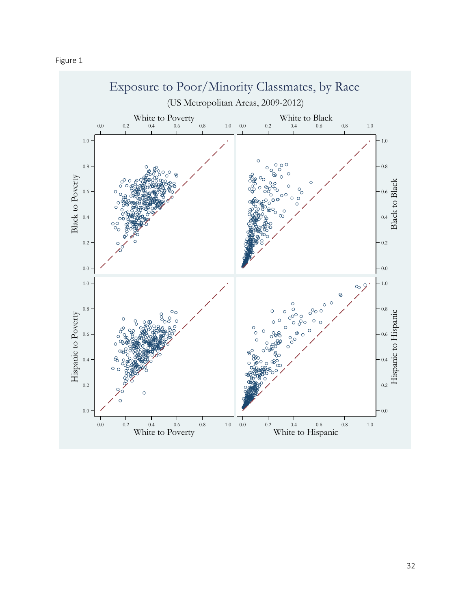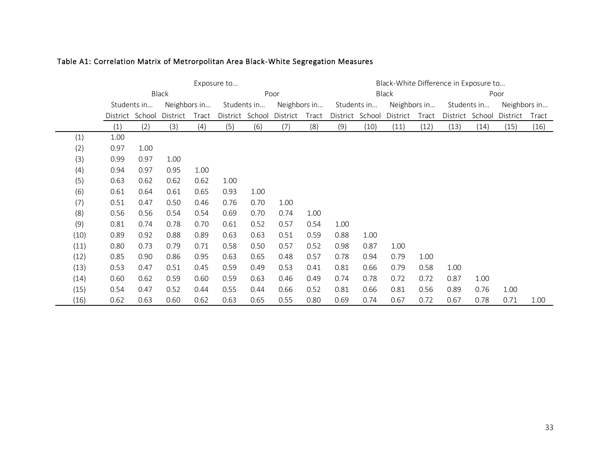|      | Exposure to          |             |              |       |      |                 |              | Black-White Difference in Exposure to |      |                 |              |       |                             |      |          |       |
|------|----------------------|-------------|--------------|-------|------|-----------------|--------------|---------------------------------------|------|-----------------|--------------|-------|-----------------------------|------|----------|-------|
|      | <b>Black</b><br>Poor |             |              |       |      |                 |              | Black                                 |      |                 |              | Poor  |                             |      |          |       |
|      |                      | Students in | Neighbors in |       |      | Students in     | Neighbors in |                                       |      | Students in     | Neighbors in |       | Neighbors in<br>Students in |      |          |       |
|      | District School      |             | District     | Tract |      | District School | District     | Tract                                 |      | District School | District     | Tract | District School             |      | District | Tract |
|      | (1)                  | (2)         | (3)          | (4)   | (5)  | (6)             | (7)          | (8)                                   | (9)  | (10)            | (11)         | (12)  | (13)                        | (14) | (15)     | (16)  |
| (1)  | 1.00                 |             |              |       |      |                 |              |                                       |      |                 |              |       |                             |      |          |       |
| (2)  | 0.97                 | 1.00        |              |       |      |                 |              |                                       |      |                 |              |       |                             |      |          |       |
| (3)  | 0.99                 | 0.97        | 1.00         |       |      |                 |              |                                       |      |                 |              |       |                             |      |          |       |
| (4)  | 0.94                 | 0.97        | 0.95         | 1.00  |      |                 |              |                                       |      |                 |              |       |                             |      |          |       |
| (5)  | 0.63                 | 0.62        | 0.62         | 0.62  | 1.00 |                 |              |                                       |      |                 |              |       |                             |      |          |       |
| (6)  | 0.61                 | 0.64        | 0.61         | 0.65  | 0.93 | 1.00            |              |                                       |      |                 |              |       |                             |      |          |       |
| (7)  | 0.51                 | 0.47        | 0.50         | 0.46  | 0.76 | 0.70            | 1.00         |                                       |      |                 |              |       |                             |      |          |       |
| (8)  | 0.56                 | 0.56        | 0.54         | 0.54  | 0.69 | 0.70            | 0.74         | 1.00                                  |      |                 |              |       |                             |      |          |       |
| (9)  | 0.81                 | 0.74        | 0.78         | 0.70  | 0.61 | 0.52            | 0.57         | 0.54                                  | 1.00 |                 |              |       |                             |      |          |       |
| (10) | 0.89                 | 0.92        | 0.88         | 0.89  | 0.63 | 0.63            | 0.51         | 0.59                                  | 0.88 | 1.00            |              |       |                             |      |          |       |
| (11) | 0.80                 | 0.73        | 0.79         | 0.71  | 0.58 | 0.50            | 0.57         | 0.52                                  | 0.98 | 0.87            | 1.00         |       |                             |      |          |       |
| (12) | 0.85                 | 0.90        | 0.86         | 0.95  | 0.63 | 0.65            | 0.48         | 0.57                                  | 0.78 | 0.94            | 0.79         | 1.00  |                             |      |          |       |
| (13) | 0.53                 | 0.47        | 0.51         | 0.45  | 0.59 | 0.49            | 0.53         | 0.41                                  | 0.81 | 0.66            | 0.79         | 0.58  | 1.00                        |      |          |       |
| (14) | 0.60                 | 0.62        | 0.59         | 0.60  | 0.59 | 0.63            | 0.46         | 0.49                                  | 0.74 | 0.78            | 0.72         | 0.72  | 0.87                        | 1.00 |          |       |
| (15) | 0.54                 | 0.47        | 0.52         | 0.44  | 0.55 | 0.44            | 0.66         | 0.52                                  | 0.81 | 0.66            | 0.81         | 0.56  | 0.89                        | 0.76 | 1.00     |       |
| (16) | 0.62                 | 0.63        | 0.60         | 0.62  | 0.63 | 0.65            | 0.55         | 0.80                                  | 0.69 | 0.74            | 0.67         | 0.72  | 0.67                        | 0.78 | 0.71     | 1.00  |

### Table A1: Correlation Matrix of Metrorpolitan Area Black-White Segregation Measures